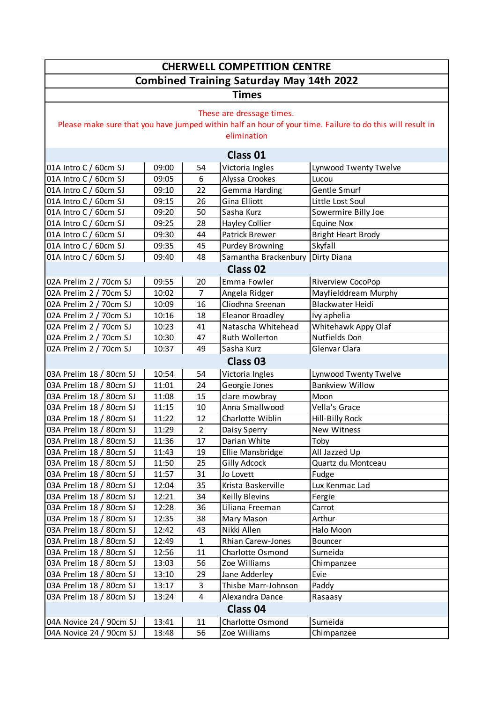| <b>CHERWELL COMPETITION CENTRE</b>                                                                                                                    |                |                      |                                  |                                                 |  |  |  |  |
|-------------------------------------------------------------------------------------------------------------------------------------------------------|----------------|----------------------|----------------------------------|-------------------------------------------------|--|--|--|--|
| <b>Combined Training Saturday May 14th 2022</b>                                                                                                       |                |                      |                                  |                                                 |  |  |  |  |
| <b>Times</b>                                                                                                                                          |                |                      |                                  |                                                 |  |  |  |  |
| These are dressage times.<br>Please make sure that you have jumped within half an hour of your time. Failure to do this will result in<br>elimination |                |                      |                                  |                                                 |  |  |  |  |
| <b>Class 01</b>                                                                                                                                       |                |                      |                                  |                                                 |  |  |  |  |
| 01A Intro C / 60cm SJ                                                                                                                                 | 09:00          | 54                   | Victoria Ingles                  | Lynwood Twenty Twelve                           |  |  |  |  |
| 01A Intro C / 60cm SJ                                                                                                                                 | 09:05          | 6                    | Alyssa Crookes                   | Lucou                                           |  |  |  |  |
| 01A Intro C / 60cm SJ                                                                                                                                 | 09:10          | 22                   | Gemma Harding                    | Gentle Smurf                                    |  |  |  |  |
| 01A Intro C / 60cm SJ                                                                                                                                 | 09:15          | 26                   | Gina Elliott                     | Little Lost Soul                                |  |  |  |  |
| 01A Intro C / 60cm SJ                                                                                                                                 | 09:20          | 50                   | Sasha Kurz                       | Sowermire Billy Joe                             |  |  |  |  |
| 01A Intro C / 60cm SJ                                                                                                                                 | 09:25          | 28                   | <b>Hayley Collier</b>            | <b>Equine Nox</b>                               |  |  |  |  |
| 01A Intro C / 60cm SJ                                                                                                                                 | 09:30          | 44                   | <b>Patrick Brewer</b>            | <b>Bright Heart Brody</b>                       |  |  |  |  |
| 01A Intro C / 60cm SJ                                                                                                                                 | 09:35          | 45                   | <b>Purdey Browning</b>           | Skyfall                                         |  |  |  |  |
| 01A Intro C / 60cm SJ                                                                                                                                 | 09:40          | 48                   | Samantha Brackenbury Dirty Diana |                                                 |  |  |  |  |
| <b>Class 02</b>                                                                                                                                       |                |                      |                                  |                                                 |  |  |  |  |
| 02A Prelim 2 / 70cm SJ                                                                                                                                | 09:55          | 20                   | Emma Fowler                      | Riverview CocoPop                               |  |  |  |  |
| 02A Prelim 2 / 70cm SJ                                                                                                                                | 10:02          | $\overline{7}$       | Angela Ridger                    | Mayfielddream Murphy                            |  |  |  |  |
| 02A Prelim 2 / 70cm SJ                                                                                                                                | 10:09          | 16                   | Cliodhna Sreenan                 | <b>Blackwater Heidi</b>                         |  |  |  |  |
| 02A Prelim 2 / 70cm SJ                                                                                                                                | 10:16          | 18                   | <b>Eleanor Broadley</b>          | Ivy aphelia                                     |  |  |  |  |
| 02A Prelim 2 / 70cm SJ                                                                                                                                | 10:23          | 41                   | Natascha Whitehead               | Whitehawk Appy Olaf                             |  |  |  |  |
| 02A Prelim 2 / 70cm SJ                                                                                                                                | 10:30          | 47                   | Ruth Wollerton                   | Nutfields Don                                   |  |  |  |  |
| 02A Prelim 2 / 70cm SJ                                                                                                                                | 10:37          | 49                   | Sasha Kurz                       | Glenvar Clara                                   |  |  |  |  |
| <b>Class 03</b>                                                                                                                                       |                |                      |                                  |                                                 |  |  |  |  |
|                                                                                                                                                       |                |                      |                                  |                                                 |  |  |  |  |
| 03A Prelim 18 / 80cm SJ                                                                                                                               | 10:54          | 54                   | Victoria Ingles                  | Lynwood Twenty Twelve<br><b>Bankview Willow</b> |  |  |  |  |
| 03A Prelim 18 / 80cm SJ<br>03A Prelim 18 / 80cm SJ                                                                                                    | 11:01          | 24<br>15             | Georgie Jones<br>clare mowbray   | Moon                                            |  |  |  |  |
| 03A Prelim 18 / 80cm SJ                                                                                                                               | 11:08          | 10                   | Anna Smallwood                   | Vella's Grace                                   |  |  |  |  |
| 03A Prelim 18 / 80cm SJ                                                                                                                               | 11:15          |                      |                                  |                                                 |  |  |  |  |
| 03A Prelim 18 / 80cm SJ                                                                                                                               | 11:22<br>11:29 | 12<br>$\overline{2}$ | Charlotte Wiblin                 | Hill-Billy Rock<br><b>New Witness</b>           |  |  |  |  |
|                                                                                                                                                       |                |                      | Daisy Sperry                     |                                                 |  |  |  |  |
| 03A Prelim 18 / 80cm SJ                                                                                                                               | 11:36<br>11:43 | 17                   | Darian White                     | Toby                                            |  |  |  |  |
| 03A Prelim 18 / 80cm SJ<br>03A Prelim 18 / 80cm SJ                                                                                                    |                | 19<br>25             | Ellie Mansbridge                 | All Jazzed Up<br>Quartz du Montceau             |  |  |  |  |
| 03A Prelim 18 / 80cm SJ                                                                                                                               | 11:50<br>11:57 | 31                   | <b>Gilly Adcock</b><br>Jo Lovett |                                                 |  |  |  |  |
| 03A Prelim 18 / 80cm SJ                                                                                                                               | 12:04          | 35                   | Krista Baskerville               | Fudge<br>Lux Kenmac Lad                         |  |  |  |  |
| 03A Prelim 18 / 80cm SJ                                                                                                                               | 12:21          | 34                   | <b>Keilly Blevins</b>            | Fergie                                          |  |  |  |  |
| 03A Prelim 18 / 80cm SJ                                                                                                                               | 12:28          | 36                   | Liliana Freeman                  | Carrot                                          |  |  |  |  |
| 03A Prelim 18 / 80cm SJ                                                                                                                               | 12:35          | 38                   | Mary Mason                       | Arthur                                          |  |  |  |  |
| 03A Prelim 18 / 80cm SJ                                                                                                                               | 12:42          | 43                   | Nikki Allen                      | Halo Moon                                       |  |  |  |  |
| 03A Prelim 18 / 80cm SJ                                                                                                                               | 12:49          | 1                    | Rhian Carew-Jones                | <b>Bouncer</b>                                  |  |  |  |  |
| 03A Prelim 18 / 80cm SJ                                                                                                                               | 12:56          | 11                   | Charlotte Osmond                 | Sumeida                                         |  |  |  |  |
| 03A Prelim 18 / 80cm SJ                                                                                                                               | 13:03          | 56                   | Zoe Williams                     | Chimpanzee                                      |  |  |  |  |
| 03A Prelim 18 / 80cm SJ                                                                                                                               | 13:10          | 29                   | Jane Adderley                    | Evie                                            |  |  |  |  |
| 03A Prelim 18 / 80cm SJ                                                                                                                               | 13:17          | 3                    | Thisbe Marr-Johnson              | Paddy                                           |  |  |  |  |
| 03A Prelim 18 / 80cm SJ                                                                                                                               | 13:24          | 4                    | Alexandra Dance                  | Rasaasy                                         |  |  |  |  |
| Class 04                                                                                                                                              |                |                      |                                  |                                                 |  |  |  |  |
| Charlotte Osmond<br>Sumeida<br>04A Novice 24 / 90cm SJ<br>13:41<br>11                                                                                 |                |                      |                                  |                                                 |  |  |  |  |
| 04A Novice 24 / 90cm SJ                                                                                                                               | 13:48          | 56                   | Zoe Williams                     | Chimpanzee                                      |  |  |  |  |
|                                                                                                                                                       |                |                      |                                  |                                                 |  |  |  |  |